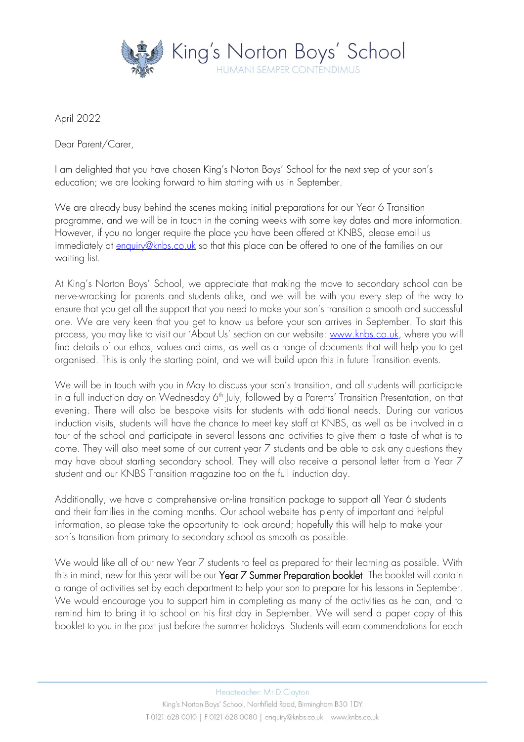

April 2022

Dear Parent/Carer,

I am delighted that you have chosen King's Norton Boys' School for the next step of your son's education; we are looking forward to him starting with us in September.

We are already busy behind the scenes making initial preparations for our Year 6 Transition programme, and we will be in touch in the coming weeks with some key dates and more information. However, if you no longer require the place you have been offered at KNBS, please email us immediately at [enquiry@knbs.co.uk](mailto:enquiry@knbs.co.uk) so that this place can be offered to one of the families on our waiting list.

At King's Norton Boys' School, we appreciate that making the move to secondary school can be nerve-wracking for parents and students alike, and we will be with you every step of the way to ensure that you get all the support that you need to make your son's transition a smooth and successful one. We are very keen that you get to know us before your son arrives in September. To start this process, you may like to visit our 'About Us' section on our website: [www.knbs.co.uk,](http://www.knbs.co.uk/) where you will find details of our ethos, values and aims, as well as a range of documents that will help you to get organised. This is only the starting point, and we will build upon this in future Transition events.

We will be in touch with you in May to discuss your son's transition, and all students will participate in a full induction day on Wednesday 6<sup>th</sup> July, followed by a Parents' Transition Presentation, on that evening. There will also be bespoke visits for students with additional needs. During our various induction visits, students will have the chance to meet key staff at KNBS, as well as be involved in a tour of the school and participate in several lessons and activities to give them a taste of what is to come. They will also meet some of our current year 7 students and be able to ask any questions they may have about starting secondary school. They will also receive a personal letter from a Year 7 student and our KNBS Transition magazine too on the full induction day.

Additionally, we have a comprehensive on-line transition package to support all Year 6 students and their families in the coming months. Our school website has plenty of important and helpful information, so please take the opportunity to look around; hopefully this will help to make your son's transition from primary to secondary school as smooth as possible.

We would like all of our new Year 7 students to feel as prepared for their learning as possible. With this in mind, new for this year will be our Year 7 Summer Preparation booklet. The booklet will contain a range of activities set by each department to help your son to prepare for his lessons in September. We would encourage you to support him in completing as many of the activities as he can, and to remind him to bring it to school on his first day in September. We will send a paper copy of this booklet to you in the post just before the summer holidays. Students will earn commendations for each